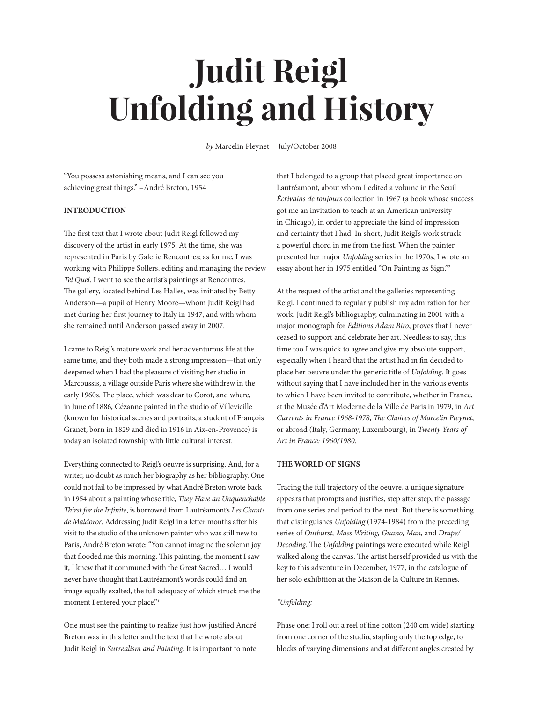# **Judit Reigl Unfolding and History**

*by* Marcelin Pleynet July/October 2008

"You possess astonishing means, and I can see you achieving great things." –André Breton, 1954

# **INTRODUCTION**

The first text that I wrote about Judit Reigl followed my discovery of the artist in early 1975. At the time, she was represented in Paris by Galerie Rencontres; as for me, I was working with Philippe Sollers, editing and managing the review *Tel Quel*. I went to see the artist's paintings at Rencontres. The gallery, located behind Les Halles, was initiated by Betty Anderson—a pupil of Henry Moore—whom Judit Reigl had met during her first journey to Italy in 1947, and with whom she remained until Anderson passed away in 2007.

I came to Reigl's mature work and her adventurous life at the same time, and they both made a strong impression—that only deepened when I had the pleasure of visiting her studio in Marcoussis, a village outside Paris where she withdrew in the early 1960s. The place, which was dear to Corot, and where, in June of 1886, Cézanne painted in the studio of Villevieille (known for historical scenes and portraits, a student of François Granet, born in 1829 and died in 1916 in Aix-en-Provence) is today an isolated township with little cultural interest.

Everything connected to Reigl's oeuvre is surprising. And, for a writer, no doubt as much her biography as her bibliography. One could not fail to be impressed by what André Breton wrote back in 1954 about a painting whose title, *They Have an Unquenchable Thirst for the Infinite*, is borrowed from Lautréamont's *Les Chants de Maldoror*. Addressing Judit Reigl in a letter months after his visit to the studio of the unknown painter who was still new to Paris, André Breton wrote: "You cannot imagine the solemn joy that flooded me this morning. This painting, the moment I saw it, I knew that it communed with the Great Sacred… I would never have thought that Lautréamont's words could find an image equally exalted, the full adequacy of which struck me the moment I entered your place."1

One must see the painting to realize just how justified André Breton was in this letter and the text that he wrote about Judit Reigl in *Surrealism and Painting*. It is important to note

that I belonged to a group that placed great importance on Lautréamont, about whom I edited a volume in the Seuil *Écrivains de toujours* collection in 1967 (a book whose success got me an invitation to teach at an American university in Chicago), in order to appreciate the kind of impression and certainty that I had. In short, Judit Reigl's work struck a powerful chord in me from the first. When the painter presented her major *Unfolding* series in the 1970s, I wrote an essay about her in 1975 entitled "On Painting as Sign."2

At the request of the artist and the galleries representing Reigl, I continued to regularly publish my admiration for her work. Judit Reigl's bibliography, culminating in 2001 with a major monograph for *Éditions Adam Biro*, proves that I never ceased to support and celebrate her art. Needless to say, this time too I was quick to agree and give my absolute support, especially when I heard that the artist had in fin decided to place her oeuvre under the generic title of *Unfolding*. It goes without saying that I have included her in the various events to which I have been invited to contribute, whether in France, at the Musée d'Art Moderne de la Ville de Paris in 1979, in *Art Currents in France 1968-1978, The Choices of Marcelin Pleynet*, or abroad (Italy, Germany, Luxembourg), in *Twenty Years of Art in France: 1960/1980.*

# **THE WORLD OF SIGNS**

Tracing the full trajectory of the oeuvre, a unique signature appears that prompts and justifies, step after step, the passage from one series and period to the next. But there is something that distinguishes *Unfolding* (1974-1984) from the preceding series of *Outburst, Mass Writing, Guano, Man,* and *Drape/ Decoding*. The *Unfolding* paintings were executed while Reigl walked along the canvas. The artist herself provided us with the key to this adventure in December, 1977, in the catalogue of her solo exhibition at the Maison de la Culture in Rennes.

#### *"Unfolding:*

Phase one: I roll out a reel of fine cotton (240 cm wide) starting from one corner of the studio, stapling only the top edge, to blocks of varying dimensions and at different angles created by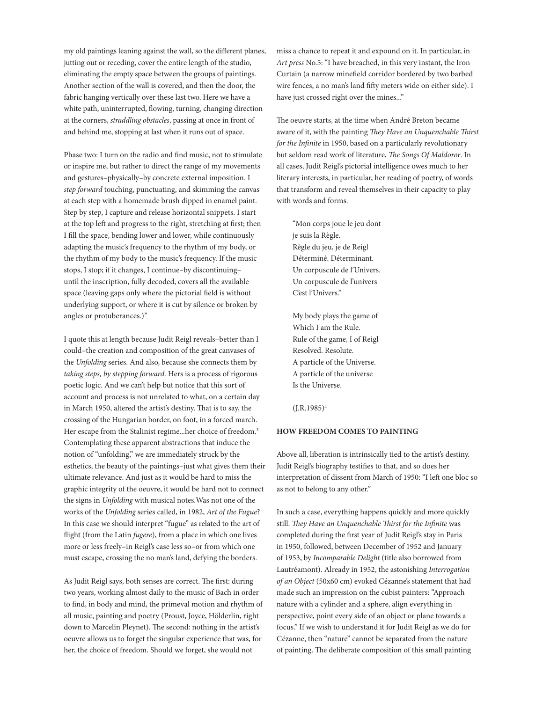my old paintings leaning against the wall, so the different planes, jutting out or receding, cover the entire length of the studio, eliminating the empty space between the groups of paintings. Another section of the wall is covered, and then the door, the fabric hanging vertically over these last two. Here we have a white path, uninterrupted, flowing, turning, changing direction at the corners, *straddling obstacles*, passing at once in front of and behind me, stopping at last when it runs out of space.

Phase two: I turn on the radio and find music, not to stimulate or inspire me, but rather to direct the range of my movements and gestures–physically–by concrete external imposition. I *step forward* touching, punctuating, and skimming the canvas at each step with a homemade brush dipped in enamel paint. Step by step, I capture and release horizontal snippets. I start at the top left and progress to the right, stretching at first; then I fill the space, bending lower and lower, while continuously adapting the music's frequency to the rhythm of my body, or the rhythm of my body to the music's frequency. If the music stops, I stop; if it changes, I continue–by discontinuing– until the inscription, fully decoded, covers all the available space (leaving gaps only where the pictorial field is without underlying support, or where it is cut by silence or broken by angles or protuberances.)"

I quote this at length because Judit Reigl reveals–better than I could–the creation and composition of the great canvases of the *Unfolding* series. And also, because she connects them by *taking steps, by stepping forward*. Hers is a process of rigorous poetic logic. And we can't help but notice that this sort of account and process is not unrelated to what, on a certain day in March 1950, altered the artist's destiny. That is to say, the crossing of the Hungarian border, on foot, in a forced march. Her escape from the Stalinist regime...her choice of freedom.<sup>3</sup> Contemplating these apparent abstractions that induce the notion of "unfolding," we are immediately struck by the esthetics, the beauty of the paintings–just what gives them their ultimate relevance. And just as it would be hard to miss the graphic integrity of the oeuvre, it would be hard not to connect the signs in *Unfolding* with musical notes.Was not one of the works of the *Unfolding* series called, in 1982, *Art of the Fugue*? In this case we should interpret "fugue" as related to the art of flight (from the Latin *fugere*), from a place in which one lives more or less freely–in Reigl's case less so–or from which one must escape, crossing the no man's land, defying the borders.

As Judit Reigl says, both senses are correct. The first: during two years, working almost daily to the music of Bach in order to find, in body and mind, the primeval motion and rhythm of all music, painting and poetry (Proust, Joyce, Hölderlin, right down to Marcelin Pleynet). The second: nothing in the artist's oeuvre allows us to forget the singular experience that was, for her, the choice of freedom. Should we forget, she would not

miss a chance to repeat it and expound on it. In particular, in *Art press* No.5: "I have breached, in this very instant, the Iron Curtain (a narrow minefield corridor bordered by two barbed wire fences, a no man's land fifty meters wide on either side). I have just crossed right over the mines..."

The oeuvre starts, at the time when André Breton became aware of it, with the painting *They Have an Unquenchable Thirst for the Infinite* in 1950, based on a particularly revolutionary but seldom read work of literature, *The Songs Of Maldoror*. In all cases, Judit Reigl's pictorial intelligence owes much to her literary interests, in particular, her reading of poetry, of words that transform and reveal themselves in their capacity to play with words and forms.

"Mon corps joue le jeu dont je suis la Règle. Règle du jeu, je de Reigl Déterminé. Déterminant. Un corpuscule de l'Univers. Un corpuscule de l'univers C'est l'Univers."

My body plays the game of Which I am the Rule. Rule of the game, I of Reigl Resolved. Resolute. A particle of the Universe. A particle of the universe Is the Universe.

 $(I.R.1985)^4$ 

#### **HOW FREEDOM COMES TO PAINTING**

Above all, liberation is intrinsically tied to the artist's destiny. Judit Reigl's biography testifies to that, and so does her interpretation of dissent from March of 1950: "I left one bloc so as not to belong to any other."

In such a case, everything happens quickly and more quickly still. *They Have an Unquenchable Thirst for the Infinite* was completed during the first year of Judit Reigl's stay in Paris in 1950, followed, between December of 1952 and January of 1953, by *Incomparable Delight* (title also borrowed from Lautréamont). Already in 1952, the astonishing *Interrogation of an Object* (50x60 cm) evoked Cézanne's statement that had made such an impression on the cubist painters: "Approach nature with a cylinder and a sphere, align everything in perspective, point every side of an object or plane towards a focus." If we wish to understand it for Judit Reigl as we do for Cézanne, then "nature" cannot be separated from the nature of painting. The deliberate composition of this small painting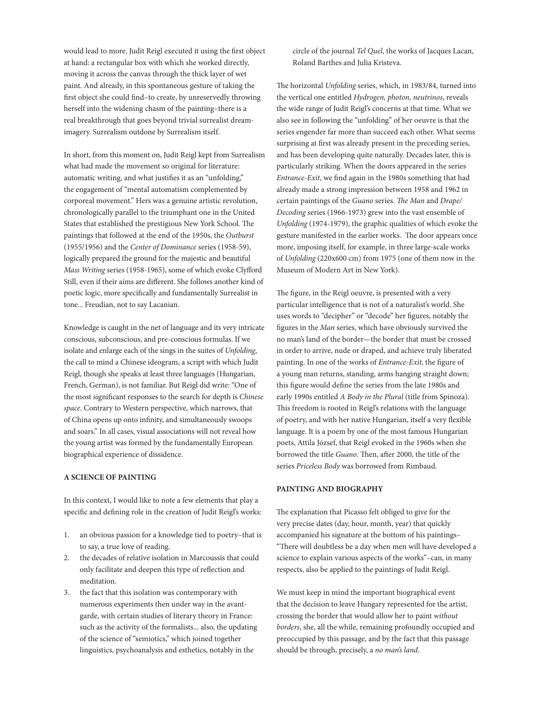would lead to more. Judit Reigl executed it using the first object at hand: a rectangular box with which she worked directly, moving it across the canvas through the thick layer of wet paint. And already, in this spontaneous gesture of taking the first object she could find–to create, by unreservedly throwing herself into the widening chasm of the painting–there is a real breakthrough that goes beyond trivial surrealist dreamimagery. Surrealism outdone by Surrealism itself.

In short, from this moment on, Judit Reigl kept from Surrealism what had made the movement so original for literature: automatic writing, and what justifies it as an "unfolding," the engagement of "mental automatism complemented by corporeal movement." Hers was a genuine artistic revolution, chronologically parallel to the triumphant one in the United States that established the prestigious New York School. The paintings that followed at the end of the 1950s, the *Outburst* (1955/1956) and the *Center of Dominance* series (1958-59), logically prepared the ground for the majestic and beautiful *Mass Writing* series (1958-1965), some of which evoke Clyfford Still, even if their aims are different. She follows another kind of poetic logic, more specifically and fundamentally Surrealist in tone... Freudian, not to say Lacanian.

Knowledge is caught in the net of language and its very intricate conscious, subconscious, and pre-conscious formulas. If we isolate and enlarge each of the sings in the suites of *Unfolding*, the call to mind a Chinese ideogram, a script with which Judit Reigl, though she speaks at least three languages (Hungarian, French, German), is not familiar. But Reigl did write: "One of the most significant responses to the search for depth is *Chinese space*. Contrary to Western perspective, which narrows, that of China opens up onto infinity, and simultaneously swoops and soars." In all cases, visual associations will not reveal how the young artist was formed by the fundamentally European biographical experience of dissidence.

# **A SCIENCE OF PAINTING**

In this context, I would like to note a few elements that play a specific and defining role in the creation of Judit Reigl's works:

- 1. an obvious passion for a knowledge tied to poetry–that is to say, a true love of reading.
- 2. the decades of relative isolation in Marcoussis that could only facilitate and deepen this type of reflection and meditation.
- 3. the fact that this isolation was contemporary with numerous experiments then under way in the avantgarde, with certain studies of literary theory in France: such as the activity of the formalists... also, the updating of the science of "semiotics," which joined together linguistics, psychoanalysis and esthetics, notably in the

circle of the journal *Tel Quel*, the works of Jacques Lacan, Roland Barthes and Julia Kristeva.

The horizontal *Unfolding* series, which, in 1983/84, turned into the vertical one entitled *Hydrogen, photon, neutrinos*, reveals the wide range of Judit Reigl's concerns at that time. What we also see in following the "unfolding" of her oeuvre is that the series engender far more than succeed each other. What seems surprising at first was already present in the preceding series, and has been developing quite naturally. Decades later, this is particularly striking. When the doors appeared in the series *Entrance-Exit*, we find again in the 1980s something that had already made a strong impression between 1958 and 1962 in certain paintings of the *Guano* series. *The Man* and *Drape/ Decoding* series (1966-1973) grew into the vast ensemble of *Unfolding* (1974-1979), the graphic qualities of which evoke the gesture manifested in the earlier works. The door appears once more, imposing itself, for example, in three large-scale works of *Unfolding* (220x600 cm) from 1975 (one of them now in the Museum of Modern Art in New York).

The figure, in the Reigl oeuvre, is presented with a very particular intelligence that is not of a naturalist's world. She uses words to "decipher" or "decode" her figures, notably the figures in the *Man* series, which have obviously survived the no man's land of the border—the border that must be crossed in order to arrive, nude or draped, and achieve truly liberated painting. In one of the works of *Entrance-Exit*, the figure of a young man returns, standing, arms hanging straight down; this figure would define the series from the late 1980s and early 1990s entitled *A Body in the Plural* (title from Spinoza). This freedom is rooted in Reigl's relations with the language of poetry, and with her native Hungarian, itself a very flexible language. It is a poem by one of the most famous Hungarian poets, Attila József, that Reigl evoked in the 1960s when she borrowed the title *Guano*. Then, after 2000, the title of the series *Priceless Body* was borrowed from Rimbaud.

# **PAINTING AND BIOGRAPHY**

The explanation that Picasso felt obliged to give for the very precise dates (day, hour, month, year) that quickly accompanied his signature at the bottom of his paintings– "There will doubtless be a day when men will have developed a science to explain various aspects of the works"–can, in many respects, also be applied to the paintings of Judit Reigl.

We must keep in mind the important biographical event that the decision to leave Hungary represented for the artist, crossing the border that would allow her to paint *without borders*, she, all the while, remaining profoundly occupied and preoccupied by this passage, and by the fact that this passage should be through, precisely, a *no man's land*.